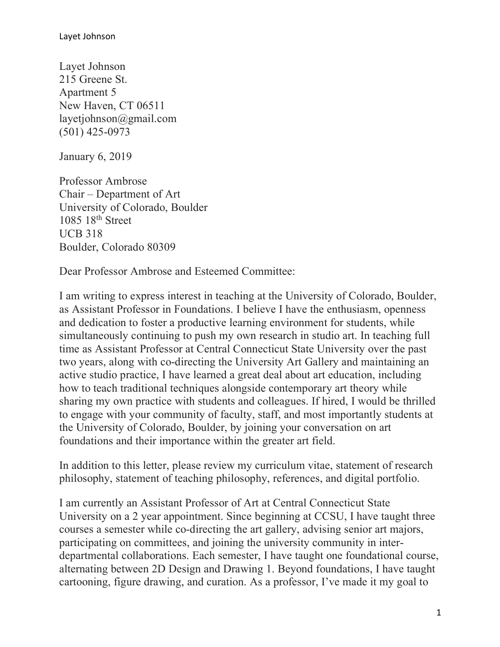Layet Johnson 215 Greene St. Apartment 5 New Haven, CT 06511 layetjohnson@gmail.com (501) 425-0973

January 6, 2019

Professor Ambrose Chair – Department of Art University of Colorado, Boulder 1085 18<sup>th</sup> Street UCB 318 Boulder, Colorado 80309

Dear Professor Ambrose and Esteemed Committee:

I am writing to express interest in teaching at the University of Colorado, Boulder, as Assistant Professor in Foundations. I believe I have the enthusiasm, openness and dedication to foster a productive learning environment for students, while simultaneously continuing to push my own research in studio art. In teaching full time as Assistant Professor at Central Connecticut State University over the past two years, along with co-directing the University Art Gallery and maintaining an active studio practice, I have learned a great deal about art education, including how to teach traditional techniques alongside contemporary art theory while sharing my own practice with students and colleagues. If hired, I would be thrilled to engage with your community of faculty, staff, and most importantly students at the University of Colorado, Boulder, by joining your conversation on art foundations and their importance within the greater art field.

In addition to this letter, please review my curriculum vitae, statement of research philosophy, statement of teaching philosophy, references, and digital portfolio.

I am currently an Assistant Professor of Art at Central Connecticut State University on a 2 year appointment. Since beginning at CCSU, I have taught three courses a semester while co-directing the art gallery, advising senior art majors, participating on committees, and joining the university community in interdepartmental collaborations. Each semester, I have taught one foundational course, alternating between 2D Design and Drawing 1. Beyond foundations, I have taught cartooning, figure drawing, and curation. As a professor, I've made it my goal to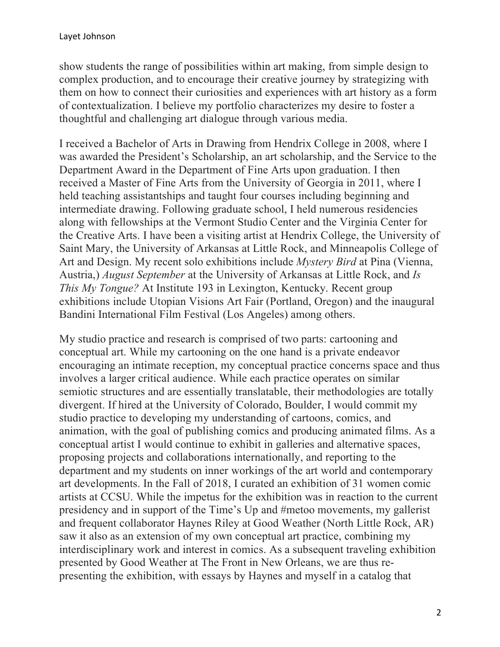show students the range of possibilities within art making, from simple design to complex production, and to encourage their creative journey by strategizing with them on how to connect their curiosities and experiences with art history as a form of contextualization. I believe my portfolio characterizes my desire to foster a thoughtful and challenging art dialogue through various media.

I received a Bachelor of Arts in Drawing from Hendrix College in 2008, where I was awarded the President's Scholarship, an art scholarship, and the Service to the Department Award in the Department of Fine Arts upon graduation. I then received a Master of Fine Arts from the University of Georgia in 2011, where I held teaching assistantships and taught four courses including beginning and intermediate drawing. Following graduate school, I held numerous residencies along with fellowships at the Vermont Studio Center and the Virginia Center for the Creative Arts. I have been a visiting artist at Hendrix College, the University of Saint Mary, the University of Arkansas at Little Rock, and Minneapolis College of Art and Design. My recent solo exhibitions include *Mystery Bird* at Pina (Vienna, Austria,) *August September* at the University of Arkansas at Little Rock, and *Is This My Tongue?* At Institute 193 in Lexington, Kentucky. Recent group exhibitions include Utopian Visions Art Fair (Portland, Oregon) and the inaugural Bandini International Film Festival (Los Angeles) among others.

My studio practice and research is comprised of two parts: cartooning and conceptual art. While my cartooning on the one hand is a private endeavor encouraging an intimate reception, my conceptual practice concerns space and thus involves a larger critical audience. While each practice operates on similar semiotic structures and are essentially translatable, their methodologies are totally divergent. If hired at the University of Colorado, Boulder, I would commit my studio practice to developing my understanding of cartoons, comics, and animation, with the goal of publishing comics and producing animated films. As a conceptual artist I would continue to exhibit in galleries and alternative spaces, proposing projects and collaborations internationally, and reporting to the department and my students on inner workings of the art world and contemporary art developments. In the Fall of 2018, I curated an exhibition of 31 women comic artists at CCSU. While the impetus for the exhibition was in reaction to the current presidency and in support of the Time's Up and #metoo movements, my gallerist and frequent collaborator Haynes Riley at Good Weather (North Little Rock, AR) saw it also as an extension of my own conceptual art practice, combining my interdisciplinary work and interest in comics. As a subsequent traveling exhibition presented by Good Weather at The Front in New Orleans, we are thus representing the exhibition, with essays by Haynes and myself in a catalog that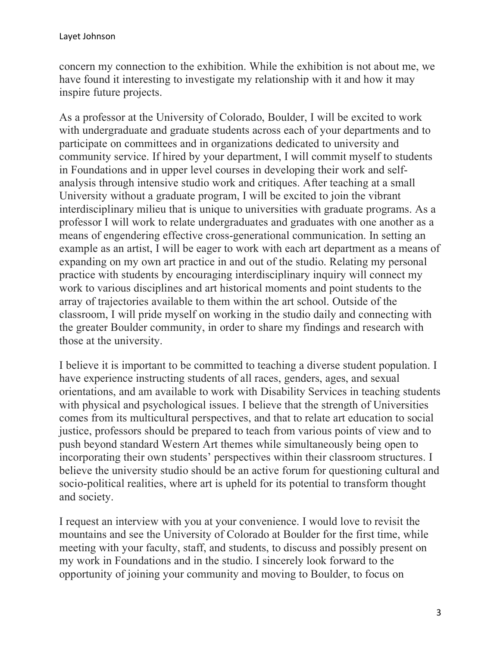concern my connection to the exhibition. While the exhibition is not about me, we have found it interesting to investigate my relationship with it and how it may inspire future projects.

As a professor at the University of Colorado, Boulder, I will be excited to work with undergraduate and graduate students across each of your departments and to participate on committees and in organizations dedicated to university and community service. If hired by your department, I will commit myself to students in Foundations and in upper level courses in developing their work and selfanalysis through intensive studio work and critiques. After teaching at a small University without a graduate program, I will be excited to join the vibrant interdisciplinary milieu that is unique to universities with graduate programs. As a professor I will work to relate undergraduates and graduates with one another as a means of engendering effective cross-generational communication. In setting an example as an artist, I will be eager to work with each art department as a means of expanding on my own art practice in and out of the studio. Relating my personal practice with students by encouraging interdisciplinary inquiry will connect my work to various disciplines and art historical moments and point students to the array of trajectories available to them within the art school. Outside of the classroom, I will pride myself on working in the studio daily and connecting with the greater Boulder community, in order to share my findings and research with those at the university.

I believe it is important to be committed to teaching a diverse student population. I have experience instructing students of all races, genders, ages, and sexual orientations, and am available to work with Disability Services in teaching students with physical and psychological issues. I believe that the strength of Universities comes from its multicultural perspectives, and that to relate art education to social justice, professors should be prepared to teach from various points of view and to push beyond standard Western Art themes while simultaneously being open to incorporating their own students' perspectives within their classroom structures. I believe the university studio should be an active forum for questioning cultural and socio-political realities, where art is upheld for its potential to transform thought and society.

I request an interview with you at your convenience. I would love to revisit the mountains and see the University of Colorado at Boulder for the first time, while meeting with your faculty, staff, and students, to discuss and possibly present on my work in Foundations and in the studio. I sincerely look forward to the opportunity of joining your community and moving to Boulder, to focus on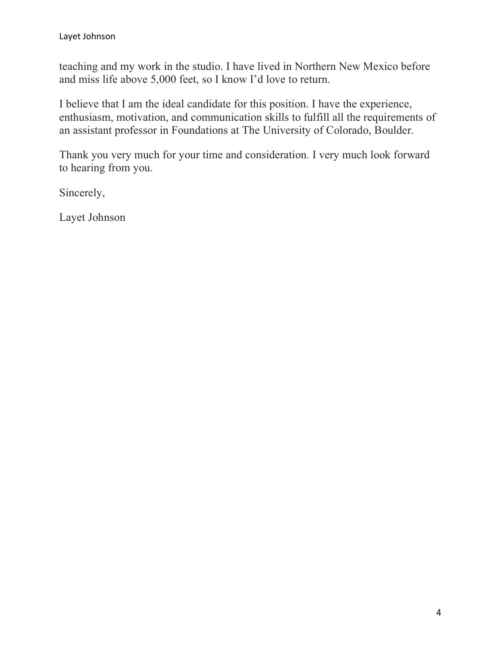teaching and my work in the studio. I have lived in Northern New Mexico before and miss life above 5,000 feet, so I know I'd love to return.

I believe that I am the ideal candidate for this position. I have the experience, enthusiasm, motivation, and communication skills to fulfill all the requirements of an assistant professor in Foundations at The University of Colorado, Boulder.

Thank you very much for your time and consideration. I very much look forward to hearing from you.

Sincerely,

Layet Johnson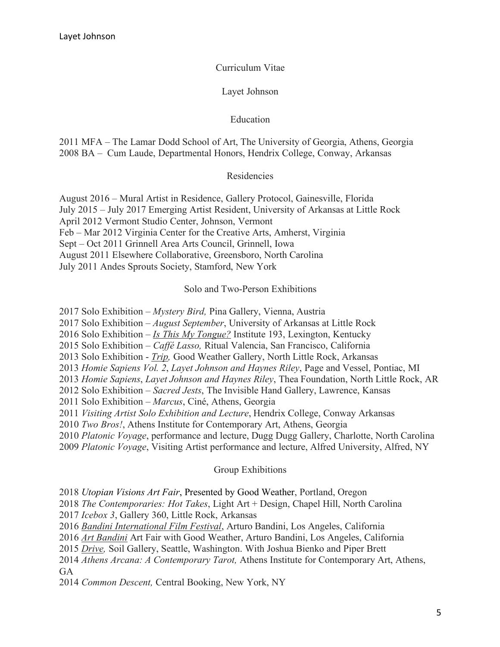Curriculum Vitae

Layet Johnson

## Education

2011 MFA – The Lamar Dodd School of Art, The University of Georgia, Athens, Georgia 2008 BA – Cum Laude, Departmental Honors, Hendrix College, Conway, Arkansas

## Residencies

August 2016 – Mural Artist in Residence, Gallery Protocol, Gainesville, Florida July 2015 – July 2017 Emerging Artist Resident, University of Arkansas at Little Rock April 2012 Vermont Studio Center, Johnson, Vermont Feb – Mar 2012 Virginia Center for the Creative Arts, Amherst, Virginia Sept – Oct 2011 Grinnell Area Arts Council, Grinnell, Iowa August 2011 Elsewhere Collaborative, Greensboro, North Carolina July 2011 Andes Sprouts Society, Stamford, New York

## Solo and Two-Person Exhibitions

2017 Solo Exhibition – *Mystery Bird,* Pina Gallery, Vienna, Austria

2017 Solo Exhibition – *August September*, University of Arkansas at Little Rock

2016 Solo Exhibition – *Is This My Tongue?* Institute 193, Lexington, Kentucky

2015 Solo Exhibition – *Caffé Lasso,* Ritual Valencia, San Francisco, California

2013 Solo Exhibition - *Trip,* Good Weather Gallery, North Little Rock, Arkansas

2013 *Homie Sapiens Vol. 2*, *Layet Johnson and Haynes Riley*, Page and Vessel, Pontiac, MI

2013 *Homie Sapiens*, *Layet Johnson and Haynes Riley*, Thea Foundation, North Little Rock, AR

2012 Solo Exhibition – *Sacred Jests*, The Invisible Hand Gallery, Lawrence, Kansas

2011 Solo Exhibition – *Marcus*, Ciné, Athens, Georgia

2011 *Visiting Artist Solo Exhibition and Lecture*, Hendrix College, Conway Arkansas

2010 *Two Bros!*, Athens Institute for Contemporary Art, Athens, Georgia

2010 *Platonic Voyage*, performance and lecture, Dugg Dugg Gallery, Charlotte, North Carolina

2009 *Platonic Voyage*, Visiting Artist performance and lecture, Alfred University, Alfred, NY

Group Exhibitions

2018 *Utopian Visions Art Fair*, Presented by Good Weather, Portland, Oregon

2018 *The Contemporaries: Hot Takes*, Light Art + Design, Chapel Hill, North Carolina

2017 *Icebox 3*, Gallery 360, Little Rock, Arkansas

2016 *Bandini International Film Festival*, Arturo Bandini, Los Angeles, California

2016 *Art Bandini* Art Fair with Good Weather, Arturo Bandini, Los Angeles, California

2015 *Drive,* Soil Gallery, Seattle, Washington. With Joshua Bienko and Piper Brett

2014 *Athens Arcana: A Contemporary Tarot,* Athens Institute for Contemporary Art, Athens, GA

2014 *Common Descent,* Central Booking, New York, NY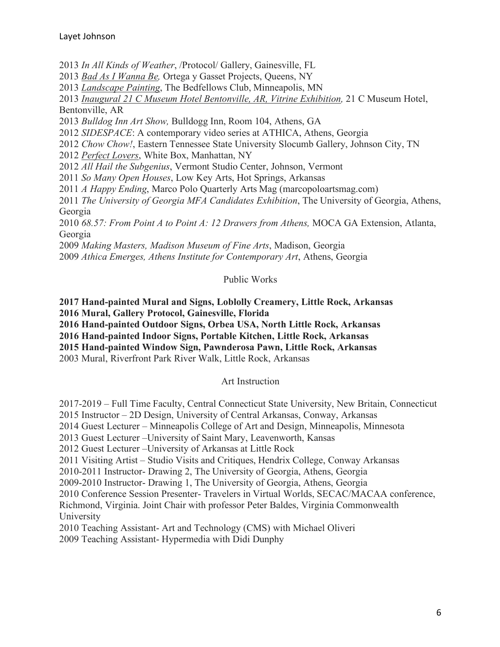2013 *In All Kinds of Weather*, /Protocol/ Gallery, Gainesville, FL

2013 *Bad As I Wanna Be,* Ortega y Gasset Projects, Queens, NY

2013 *Landscape Painting*, The Bedfellows Club, Minneapolis, MN

2013 *Inaugural 21 C Museum Hotel Bentonville, AR, Vitrine Exhibition,* 21 C Museum Hotel, Bentonville, AR

2013 *Bulldog Inn Art Show,* Bulldogg Inn, Room 104, Athens, GA

2012 *SIDESPACE*: A contemporary video series at ATHICA, Athens, Georgia

2012 *Chow Chow!*, Eastern Tennessee State University Slocumb Gallery, Johnson City, TN

2012 *Perfect Lovers*, White Box, Manhattan, NY

2012 *All Hail the Subgenius*, Vermont Studio Center, Johnson, Vermont

2011 *So Many Open Houses*, Low Key Arts, Hot Springs, Arkansas

2011 *A Happy Ending*, Marco Polo Quarterly Arts Mag (marcopoloartsmag.com)

2011 *The University of Georgia MFA Candidates Exhibition*, The University of Georgia, Athens, Georgia

2010 *68.57: From Point A to Point A: 12 Drawers from Athens,* MOCA GA Extension, Atlanta, Georgia

2009 *Making Masters, Madison Museum of Fine Arts*, Madison, Georgia 2009 *Athica Emerges, Athens Institute for Contemporary Art*, Athens, Georgia

### Public Works

**2017 Hand-painted Mural and Signs, Loblolly Creamery, Little Rock, Arkansas 2016 Mural, Gallery Protocol, Gainesville, Florida**

**2016 Hand-painted Outdoor Signs, Orbea USA, North Little Rock, Arkansas**

**2016 Hand-painted Indoor Signs, Portable Kitchen, Little Rock, Arkansas**

**2015 Hand-painted Window Sign, Pawnderosa Pawn, Little Rock, Arkansas**

2003 Mural, Riverfront Park River Walk, Little Rock, Arkansas

### Art Instruction

2017-2019 – Full Time Faculty, Central Connecticut State University, New Britain, Connecticut

2015 Instructor – 2D Design, University of Central Arkansas, Conway, Arkansas

2014 Guest Lecturer – Minneapolis College of Art and Design, Minneapolis, Minnesota

2013 Guest Lecturer –University of Saint Mary, Leavenworth, Kansas

2012 Guest Lecturer –University of Arkansas at Little Rock

2011 Visiting Artist – Studio Visits and Critiques, Hendrix College, Conway Arkansas

2010-2011 Instructor- Drawing 2, The University of Georgia, Athens, Georgia

2009-2010 Instructor- Drawing 1, The University of Georgia, Athens, Georgia

2010 Conference Session Presenter- Travelers in Virtual Worlds, SECAC/MACAA conference,

Richmond, Virginia. Joint Chair with professor Peter Baldes, Virginia Commonwealth University

2010 Teaching Assistant- Art and Technology (CMS) with Michael Oliveri

2009 Teaching Assistant- Hypermedia with Didi Dunphy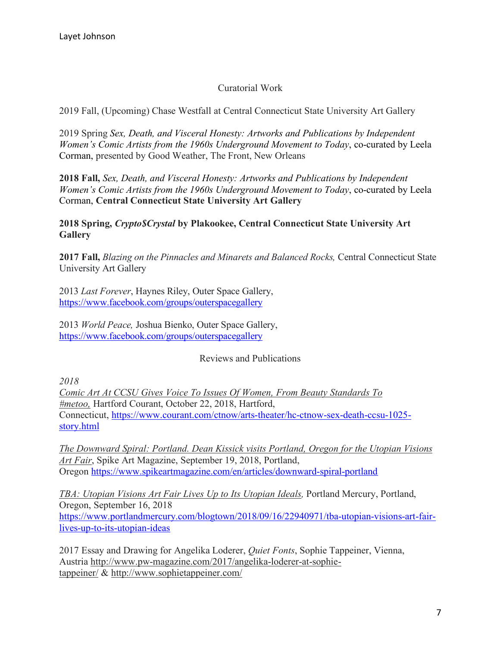## Curatorial Work

2019 Fall, (Upcoming) Chase Westfall at Central Connecticut State University Art Gallery

2019 Spring *Sex, Death, and Visceral Honesty: Artworks and Publications by Independent Women's Comic Artists from the 1960s Underground Movement to Today*, co-curated by Leela Corman, presented by Good Weather, The Front, New Orleans

**2018 Fall,** *Sex, Death, and Visceral Honesty: Artworks and Publications by Independent Women's Comic Artists from the 1960s Underground Movement to Today*, co-curated by Leela Corman, **Central Connecticut State University Art Gallery**

**2018 Spring,** *Crypto\$Crystal* **by Plakookee, Central Connecticut State University Art Gallery**

**2017 Fall,** *Blazing on the Pinnacles and Minarets and Balanced Rocks,* Central Connecticut State University Art Gallery

2013 *Last Forever*, Haynes Riley, Outer Space Gallery, https://www.facebook.com/groups/outerspacegallery

2013 *World Peace,* Joshua Bienko, Outer Space Gallery, https://www.facebook.com/groups/outerspacegallery

### Reviews and Publications

*2018*

*Comic Art At CCSU Gives Voice To Issues Of Women, From Beauty Standards To #metoo,* Hartford Courant, October 22, 2018, Hartford, Connecticut, https://www.courant.com/ctnow/arts-theater/hc-ctnow-sex-death-ccsu-1025 story.html

*The Downward Spiral: Portland. Dean Kissick visits Portland, Oregon for the Utopian Visions Art Fair*, Spike Art Magazine, September 19, 2018, Portland, Oregon https://www.spikeartmagazine.com/en/articles/downward-spiral-portland

*TBA: Utopian Visions Art Fair Lives Up to Its Utopian Ideals,* Portland Mercury, Portland, Oregon, September 16, 2018 https://www.portlandmercury.com/blogtown/2018/09/16/22940971/tba-utopian-visions-art-fairlives-up-to-its-utopian-ideas

2017 Essay and Drawing for Angelika Loderer, *Quiet Fonts*, Sophie Tappeiner, Vienna, Austria http://www.pw-magazine.com/2017/angelika-loderer-at-sophietappeiner/ & http://www.sophietappeiner.com/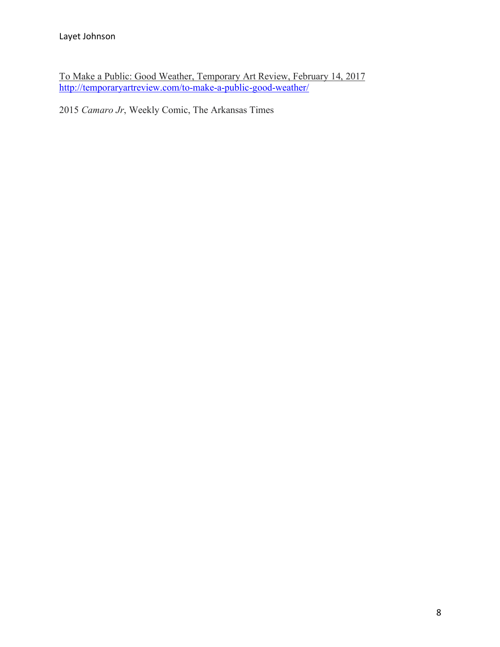To Make a Public: Good Weather, Temporary Art Review, February 14, 2017 http://temporaryartreview.com/to-make-a-public-good-weather/

2015 *Camaro Jr*, Weekly Comic, The Arkansas Times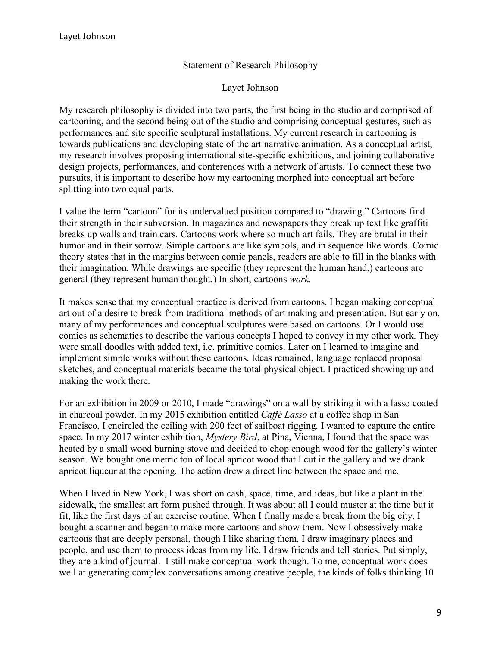### Statement of Research Philosophy

#### Layet Johnson

My research philosophy is divided into two parts, the first being in the studio and comprised of cartooning, and the second being out of the studio and comprising conceptual gestures, such as performances and site specific sculptural installations. My current research in cartooning is towards publications and developing state of the art narrative animation. As a conceptual artist, my research involves proposing international site-specific exhibitions, and joining collaborative design projects, performances, and conferences with a network of artists. To connect these two pursuits, it is important to describe how my cartooning morphed into conceptual art before splitting into two equal parts.

I value the term "cartoon" for its undervalued position compared to "drawing." Cartoons find their strength in their subversion. In magazines and newspapers they break up text like graffiti breaks up walls and train cars. Cartoons work where so much art fails. They are brutal in their humor and in their sorrow. Simple cartoons are like symbols, and in sequence like words. Comic theory states that in the margins between comic panels, readers are able to fill in the blanks with their imagination. While drawings are specific (they represent the human hand,) cartoons are general (they represent human thought.) In short, cartoons *work.* 

It makes sense that my conceptual practice is derived from cartoons. I began making conceptual art out of a desire to break from traditional methods of art making and presentation. But early on, many of my performances and conceptual sculptures were based on cartoons. Or I would use comics as schematics to describe the various concepts I hoped to convey in my other work. They were small doodles with added text, i.e. primitive comics. Later on I learned to imagine and implement simple works without these cartoons. Ideas remained, language replaced proposal sketches, and conceptual materials became the total physical object. I practiced showing up and making the work there.

For an exhibition in 2009 or 2010, I made "drawings" on a wall by striking it with a lasso coated in charcoal powder. In my 2015 exhibition entitled *Caffé Lasso* at a coffee shop in San Francisco, I encircled the ceiling with 200 feet of sailboat rigging. I wanted to capture the entire space. In my 2017 winter exhibition, *Mystery Bird*, at Pina, Vienna, I found that the space was heated by a small wood burning stove and decided to chop enough wood for the gallery's winter season. We bought one metric ton of local apricot wood that I cut in the gallery and we drank apricot liqueur at the opening. The action drew a direct line between the space and me.

When I lived in New York, I was short on cash, space, time, and ideas, but like a plant in the sidewalk, the smallest art form pushed through. It was about all I could muster at the time but it fit, like the first days of an exercise routine. When I finally made a break from the big city, I bought a scanner and began to make more cartoons and show them. Now I obsessively make cartoons that are deeply personal, though I like sharing them. I draw imaginary places and people, and use them to process ideas from my life. I draw friends and tell stories. Put simply, they are a kind of journal. I still make conceptual work though. To me, conceptual work does well at generating complex conversations among creative people, the kinds of folks thinking 10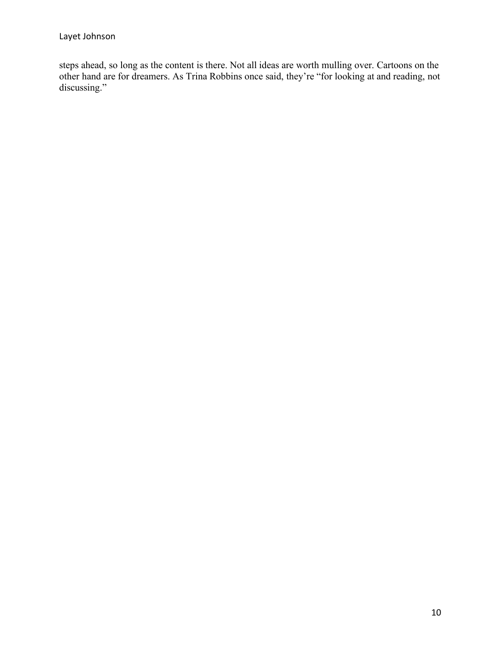steps ahead, so long as the content is there. Not all ideas are worth mulling over. Cartoons on the other hand are for dreamers. As Trina Robbins once said, they're "for looking at and reading, not discussing."